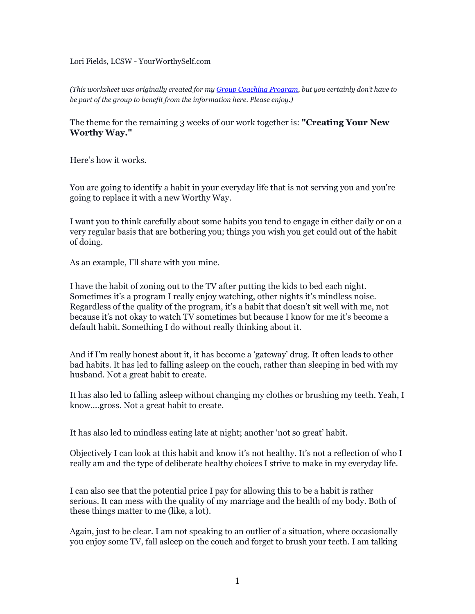Lori Fields, LCSW - YourWorthySelf.com

*(This worksheet was originally created for my [Group Coaching Program](http://www.yourworthyself.com/#!worthy-nation/cy0o), but you certainly don't have to be part of the group to benefit from the information here. Please enjoy.)*

The theme for the remaining 3 weeks of our work together is: **"Creating Your New Worthy Way."**

Here's how it works.

You are going to identify a habit in your everyday life that is not serving you and you're going to replace it with a new Worthy Way.

I want you to think carefully about some habits you tend to engage in either daily or on a very regular basis that are bothering you; things you wish you get could out of the habit of doing.

As an example, I'll share with you mine.

I have the habit of zoning out to the TV after putting the kids to bed each night. Sometimes it's a program I really enjoy watching, other nights it's mindless noise. Regardless of the quality of the program, it's a habit that doesn't sit well with me, not because it's not okay to watch TV sometimes but because I know for me it's become a default habit. Something I do without really thinking about it.

And if I'm really honest about it, it has become a 'gateway' drug. It often leads to other bad habits. It has led to falling asleep on the couch, rather than sleeping in bed with my husband. Not a great habit to create.

It has also led to falling asleep without changing my clothes or brushing my teeth. Yeah, I know….gross. Not a great habit to create.

It has also led to mindless eating late at night; another 'not so great' habit.

Objectively I can look at this habit and know it's not healthy. It's not a reflection of who I really am and the type of deliberate healthy choices I strive to make in my everyday life.

I can also see that the potential price I pay for allowing this to be a habit is rather serious. It can mess with the quality of my marriage and the health of my body. Both of these things matter to me (like, a lot).

Again, just to be clear. I am not speaking to an outlier of a situation, where occasionally you enjoy some TV, fall asleep on the couch and forget to brush your teeth. I am talking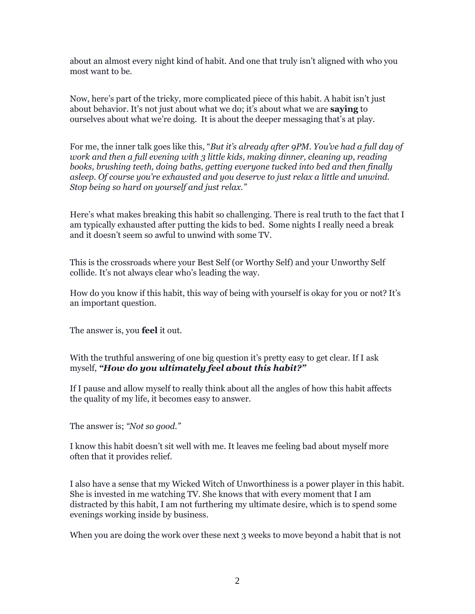about an almost every night kind of habit. And one that truly isn't aligned with who you most want to be.

Now, here's part of the tricky, more complicated piece of this habit. A habit isn't just about behavior. It's not just about what we do; it's about what we are **saying** to ourselves about what we're doing. It is about the deeper messaging that's at play.

For me, the inner talk goes like this, "*But it's already after 9PM. You've had a full day of work and then a full evening with 3 little kids, making dinner, cleaning up, reading books, brushing teeth, doing baths, getting everyone tucked into bed and then finally asleep. Of course you're exhausted and you deserve to just relax a little and unwind. Stop being so hard on yourself and just relax."*

Here's what makes breaking this habit so challenging. There is real truth to the fact that I am typically exhausted after putting the kids to bed. Some nights I really need a break and it doesn't seem so awful to unwind with some TV.

This is the crossroads where your Best Self (or Worthy Self) and your Unworthy Self collide. It's not always clear who's leading the way.

How do you know if this habit, this way of being with yourself is okay for you or not? It's an important question.

The answer is, you **feel** it out.

With the truthful answering of one big question it's pretty easy to get clear. If I ask myself, *"How do you ultimately feel about this habit?"*

If I pause and allow myself to really think about all the angles of how this habit affects the quality of my life, it becomes easy to answer.

The answer is; *"Not so good."*

I know this habit doesn't sit well with me. It leaves me feeling bad about myself more often that it provides relief.

I also have a sense that my Wicked Witch of Unworthiness is a power player in this habit. She is invested in me watching TV. She knows that with every moment that I am distracted by this habit, I am not furthering my ultimate desire, which is to spend some evenings working inside by business.

When you are doing the work over these next 3 weeks to move beyond a habit that is not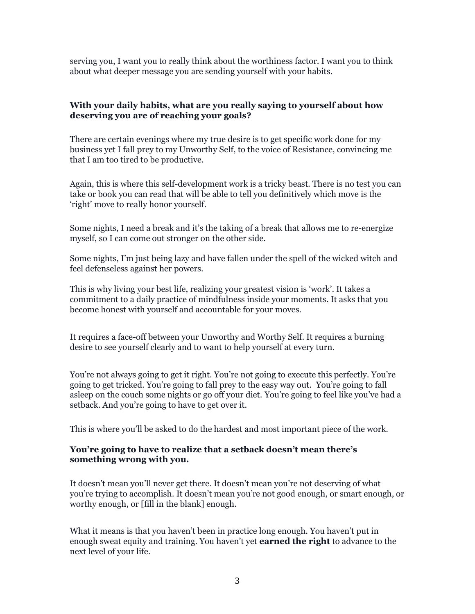serving you, I want you to really think about the worthiness factor. I want you to think about what deeper message you are sending yourself with your habits.

## **With your daily habits, what are you really saying to yourself about how deserving you are of reaching your goals?**

There are certain evenings where my true desire is to get specific work done for my business yet I fall prey to my Unworthy Self, to the voice of Resistance, convincing me that I am too tired to be productive.

Again, this is where this self-development work is a tricky beast. There is no test you can take or book you can read that will be able to tell you definitively which move is the 'right' move to really honor yourself.

Some nights, I need a break and it's the taking of a break that allows me to re-energize myself, so I can come out stronger on the other side.

Some nights, I'm just being lazy and have fallen under the spell of the wicked witch and feel defenseless against her powers.

This is why living your best life, realizing your greatest vision is 'work'. It takes a commitment to a daily practice of mindfulness inside your moments. It asks that you become honest with yourself and accountable for your moves.

It requires a face-off between your Unworthy and Worthy Self. It requires a burning desire to see yourself clearly and to want to help yourself at every turn.

You're not always going to get it right. You're not going to execute this perfectly. You're going to get tricked. You're going to fall prey to the easy way out. You're going to fall asleep on the couch some nights or go off your diet. You're going to feel like you've had a setback. And you're going to have to get over it.

This is where you'll be asked to do the hardest and most important piece of the work.

## **You're going to have to realize that a setback doesn't mean there's something wrong with you.**

It doesn't mean you'll never get there. It doesn't mean you're not deserving of what you're trying to accomplish. It doesn't mean you're not good enough, or smart enough, or worthy enough, or [fill in the blank] enough.

What it means is that you haven't been in practice long enough. You haven't put in enough sweat equity and training. You haven't yet **earned the right** to advance to the next level of your life.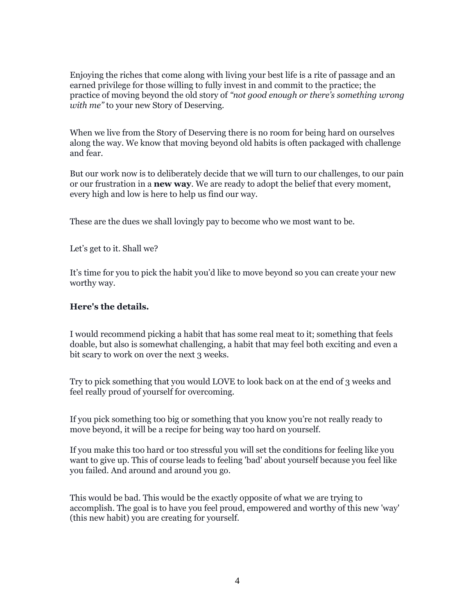Enjoying the riches that come along with living your best life is a rite of passage and an earned privilege for those willing to fully invest in and commit to the practice; the practice of moving beyond the old story of *"not good enough or there's something wrong with me"* to your new Story of Deserving.

When we live from the Story of Deserving there is no room for being hard on ourselves along the way. We know that moving beyond old habits is often packaged with challenge and fear.

But our work now is to deliberately decide that we will turn to our challenges, to our pain or our frustration in a **new way**. We are ready to adopt the belief that every moment, every high and low is here to help us find our way.

These are the dues we shall lovingly pay to become who we most want to be.

Let's get to it. Shall we?

It's time for you to pick the habit you'd like to move beyond so you can create your new worthy way.

## **Here's the details.**

I would recommend picking a habit that has some real meat to it; something that feels doable, but also is somewhat challenging, a habit that may feel both exciting and even a bit scary to work on over the next 3 weeks.

Try to pick something that you would LOVE to look back on at the end of 3 weeks and feel really proud of yourself for overcoming.

If you pick something too big or something that you know you're not really ready to move beyond, it will be a recipe for being way too hard on yourself.

If you make this too hard or too stressful you will set the conditions for feeling like you want to give up. This of course leads to feeling 'bad' about yourself because you feel like you failed. And around and around you go.

This would be bad. This would be the exactly opposite of what we are trying to accomplish. The goal is to have you feel proud, empowered and worthy of this new 'way' (this new habit) you are creating for yourself.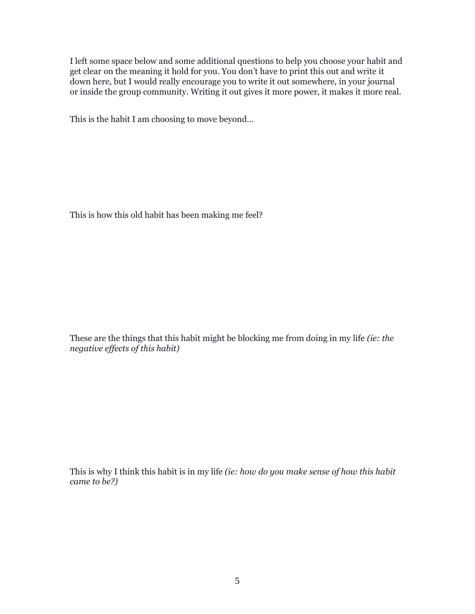I left some space below and some additional questions to help you choose your habit and get clear on the meaning it hold for you. You don't have to print this out and write it down here, but I would really encourage you to write it out somewhere, in your journal or inside the group community. Writing it out gives it more power, it makes it more real.

This is the habit I am choosing to move beyond…

This is how this old habit has been making me feel?

These are the things that this habit might be blocking me from doing in my life *(ie: the negative effects of this habit)*

This is why I think this habit is in my life *(ie: how do you make sense of how this habit came to be?)*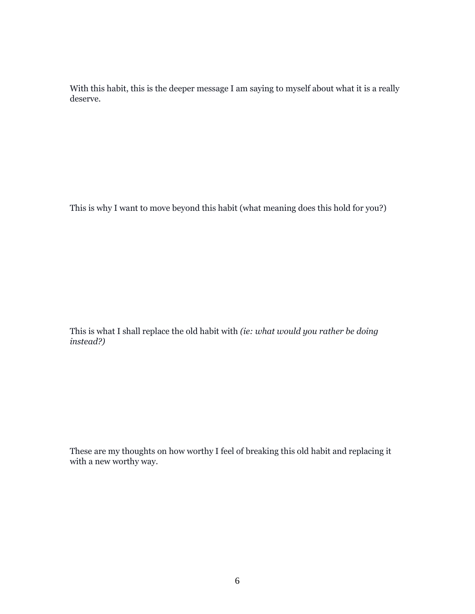With this habit, this is the deeper message I am saying to myself about what it is a really deserve.

This is why I want to move beyond this habit (what meaning does this hold for you?)

This is what I shall replace the old habit with *(ie: what would you rather be doing instead?)*

These are my thoughts on how worthy I feel of breaking this old habit and replacing it with a new worthy way.